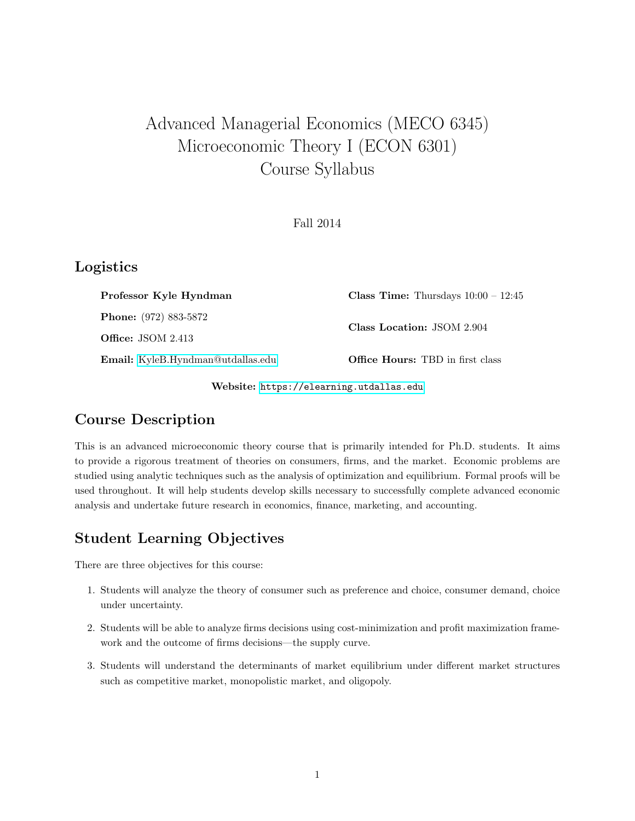# Advanced Managerial Economics (MECO 6345) Microeconomic Theory I (ECON 6301) Course Syllabus

Fall 2014

#### Logistics

| Professor Kyle Hyndman            | <b>Class Time:</b> Thursdays $10:00 - 12:45$ |
|-----------------------------------|----------------------------------------------|
| <b>Phone:</b> (972) 883-5872      | Class Location: JSOM 2.904                   |
| <b>Office:</b> JSOM $2.413$       |                                              |
| Email: KyleB.Hyndman@utdallas.edu | <b>Office Hours:</b> TBD in first class      |

Website: <https://elearning.utdallas.edu>

## Course Description

This is an advanced microeconomic theory course that is primarily intended for Ph.D. students. It aims to provide a rigorous treatment of theories on consumers, firms, and the market. Economic problems are studied using analytic techniques such as the analysis of optimization and equilibrium. Formal proofs will be used throughout. It will help students develop skills necessary to successfully complete advanced economic analysis and undertake future research in economics, finance, marketing, and accounting.

## Student Learning Objectives

There are three objectives for this course:

- 1. Students will analyze the theory of consumer such as preference and choice, consumer demand, choice under uncertainty.
- 2. Students will be able to analyze firms decisions using cost-minimization and profit maximization framework and the outcome of firms decisions—the supply curve.
- 3. Students will understand the determinants of market equilibrium under different market structures such as competitive market, monopolistic market, and oligopoly.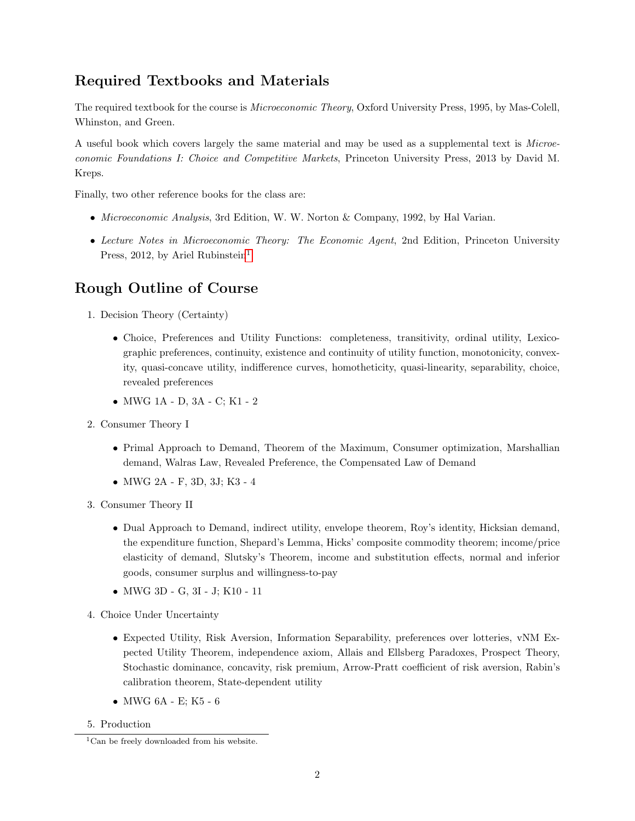## Required Textbooks and Materials

The required textbook for the course is Microeconomic Theory, Oxford University Press, 1995, by Mas-Colell, Whinston, and Green.

A useful book which covers largely the same material and may be used as a supplemental text is Microeconomic Foundations I: Choice and Competitive Markets, Princeton University Press, 2013 by David M. Kreps.

Finally, two other reference books for the class are:

- *Microeconomic Analysis*, 3rd Edition, W. W. Norton & Company, 1992, by Hal Varian.
- Lecture Notes in Microeconomic Theory: The Economic Agent, 2nd Edition, Princeton University Press, 20[1](#page-1-0)2, by Ariel Rubinstein<sup>1</sup>

#### Rough Outline of Course

- 1. Decision Theory (Certainty)
	- Choice, Preferences and Utility Functions: completeness, transitivity, ordinal utility, Lexicographic preferences, continuity, existence and continuity of utility function, monotonicity, convexity, quasi-concave utility, indifference curves, homotheticity, quasi-linearity, separability, choice, revealed preferences
	- MWG 1A D, 3A C; K1 2
- 2. Consumer Theory I
	- Primal Approach to Demand, Theorem of the Maximum, Consumer optimization, Marshallian demand, Walras Law, Revealed Preference, the Compensated Law of Demand
	- MWG 2A F, 3D, 3J; K3 4
- 3. Consumer Theory II
	- Dual Approach to Demand, indirect utility, envelope theorem, Roy's identity, Hicksian demand, the expenditure function, Shepard's Lemma, Hicks' composite commodity theorem; income/price elasticity of demand, Slutsky's Theorem, income and substitution effects, normal and inferior goods, consumer surplus and willingness-to-pay
	- MWG 3D G, 3I J; K10 11
- 4. Choice Under Uncertainty
	- Expected Utility, Risk Aversion, Information Separability, preferences over lotteries, vNM Expected Utility Theorem, independence axiom, Allais and Ellsberg Paradoxes, Prospect Theory, Stochastic dominance, concavity, risk premium, Arrow-Pratt coefficient of risk aversion, Rabin's calibration theorem, State-dependent utility
	- MWG 6A E; K5 6

<sup>5.</sup> Production

<span id="page-1-0"></span><sup>&</sup>lt;sup>1</sup>Can be freely downloaded from his website.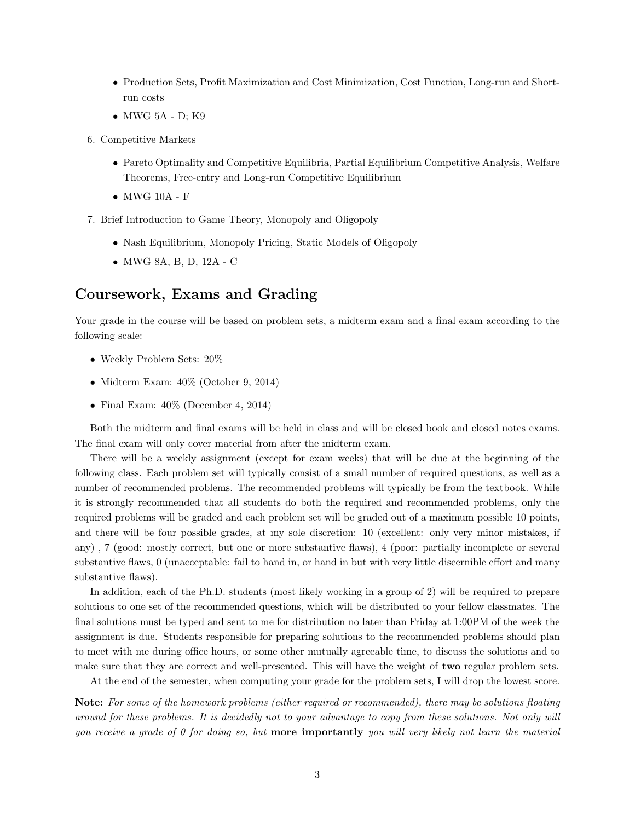- Production Sets, Profit Maximization and Cost Minimization, Cost Function, Long-run and Shortrun costs
- MWG 5A D; K9
- 6. Competitive Markets
	- Pareto Optimality and Competitive Equilibria, Partial Equilibrium Competitive Analysis, Welfare Theorems, Free-entry and Long-run Competitive Equilibrium
	- MWG 10A F
- 7. Brief Introduction to Game Theory, Monopoly and Oligopoly
	- Nash Equilibrium, Monopoly Pricing, Static Models of Oligopoly
	- MWG 8A, B, D, 12A C

#### Coursework, Exams and Grading

Your grade in the course will be based on problem sets, a midterm exam and a final exam according to the following scale:

- Weekly Problem Sets: 20%
- Midterm Exam:  $40\%$  (October 9, 2014)
- Final Exam:  $40\%$  (December 4, 2014)

Both the midterm and final exams will be held in class and will be closed book and closed notes exams. The final exam will only cover material from after the midterm exam.

There will be a weekly assignment (except for exam weeks) that will be due at the beginning of the following class. Each problem set will typically consist of a small number of required questions, as well as a number of recommended problems. The recommended problems will typically be from the textbook. While it is strongly recommended that all students do both the required and recommended problems, only the required problems will be graded and each problem set will be graded out of a maximum possible 10 points, and there will be four possible grades, at my sole discretion: 10 (excellent: only very minor mistakes, if any) , 7 (good: mostly correct, but one or more substantive flaws), 4 (poor: partially incomplete or several substantive flaws, 0 (unacceptable: fail to hand in, or hand in but with very little discernible effort and many substantive flaws).

In addition, each of the Ph.D. students (most likely working in a group of 2) will be required to prepare solutions to one set of the recommended questions, which will be distributed to your fellow classmates. The final solutions must be typed and sent to me for distribution no later than Friday at 1:00PM of the week the assignment is due. Students responsible for preparing solutions to the recommended problems should plan to meet with me during office hours, or some other mutually agreeable time, to discuss the solutions and to make sure that they are correct and well-presented. This will have the weight of **two** regular problem sets.

At the end of the semester, when computing your grade for the problem sets, I will drop the lowest score.

Note: For some of the homework problems (either required or recommended), there may be solutions floating around for these problems. It is decidedly not to your advantage to copy from these solutions. Not only will you receive a grade of  $\theta$  for doing so, but **more importantly** you will very likely not learn the material